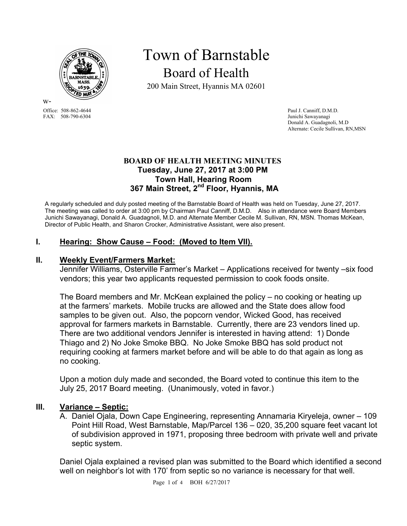

w-FAX: 508-790-6304

# Town of Barnstable Board of Health

200 Main Street, Hyannis MA 02601

Office: 508-862-4644 Paul J. Canniff, D.M.D.<br>
FAX: 508-790-6304 Junichi Sawayanagi Donald A. Guadagnoli, M.D Alternate: Cecile Sullivan, RN,MSN

### **BOARD OF HEALTH MEETING MINUTES Tuesday, June 27, 2017 at 3:00 PM Town Hall, Hearing Room 367 Main Street, 2nd Floor, Hyannis, MA**

A regularly scheduled and duly posted meeting of the Barnstable Board of Health was held on Tuesday, June 27, 2017. The meeting was called to order at 3:00 pm by Chairman Paul Canniff, D.M.D. Also in attendance were Board Members Junichi Sawayanagi, Donald A. Guadagnoli, M.D. and Alternate Member Cecile M. Sullivan, RN, MSN. Thomas McKean, Director of Public Health, and Sharon Crocker, Administrative Assistant, were also present.

## **I. Hearing: Show Cause – Food: (Moved to Item VII).**

### **II. Weekly Event/Farmers Market:**

Jennifer Williams, Osterville Farmer's Market – Applications received for twenty –six food vendors; this year two applicants requested permission to cook foods onsite.

The Board members and Mr. McKean explained the policy – no cooking or heating up at the farmers' markets. Mobile trucks are allowed and the State does allow food samples to be given out. Also, the popcorn vendor, Wicked Good, has received approval for farmers markets in Barnstable. Currently, there are 23 vendors lined up. There are two additional vendors Jennifer is interested in having attend: 1) Donde Thiago and 2) No Joke Smoke BBQ. No Joke Smoke BBQ has sold product not requiring cooking at farmers market before and will be able to do that again as long as no cooking.

Upon a motion duly made and seconded, the Board voted to continue this item to the July 25, 2017 Board meeting. (Unanimously, voted in favor.)

### **III. Variance – Septic:**

A. Daniel Ojala, Down Cape Engineering, representing Annamaria Kiryeleja, owner – 109 Point Hill Road, West Barnstable, Map/Parcel 136 – 020, 35,200 square feet vacant lot of subdivision approved in 1971, proposing three bedroom with private well and private septic system.

Daniel Ojala explained a revised plan was submitted to the Board which identified a second well on neighbor's lot with 170' from septic so no variance is necessary for that well.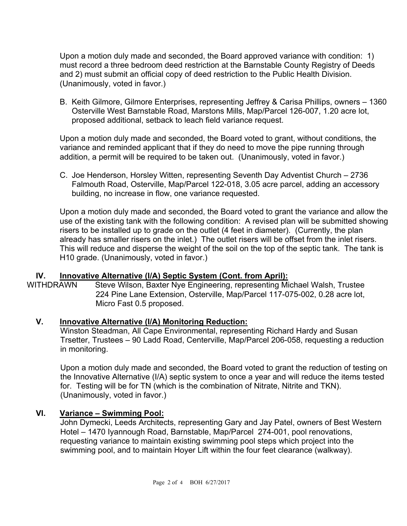Upon a motion duly made and seconded, the Board approved variance with condition: 1) must record a three bedroom deed restriction at the Barnstable County Registry of Deeds and 2) must submit an official copy of deed restriction to the Public Health Division. (Unanimously, voted in favor.)

B. Keith Gilmore, Gilmore Enterprises, representing Jeffrey & Carisa Phillips, owners – 1360 Osterville West Barnstable Road, Marstons Mills, Map/Parcel 126-007, 1.20 acre lot, proposed additional, setback to leach field variance request.

Upon a motion duly made and seconded, the Board voted to grant, without conditions, the variance and reminded applicant that if they do need to move the pipe running through addition, a permit will be required to be taken out. (Unanimously, voted in favor.)

C. Joe Henderson, Horsley Witten, representing Seventh Day Adventist Church – 2736 Falmouth Road, Osterville, Map/Parcel 122-018, 3.05 acre parcel, adding an accessory building, no increase in flow, one variance requested.

Upon a motion duly made and seconded, the Board voted to grant the variance and allow the use of the existing tank with the following condition: A revised plan will be submitted showing risers to be installed up to grade on the outlet (4 feet in diameter). (Currently, the plan already has smaller risers on the inlet.) The outlet risers will be offset from the inlet risers. This will reduce and disperse the weight of the soil on the top of the septic tank. The tank is H10 grade. (Unanimously, voted in favor.)

## **IV. Innovative Alternative (I/A) Septic System (Cont. from April):**

WITHDRAWN Steve Wilson, Baxter Nye Engineering, representing Michael Walsh, Trustee 224 Pine Lane Extension, Osterville, Map/Parcel 117-075-002, 0.28 acre lot, Micro Fast 0.5 proposed.

### **V. Innovative Alternative (I/A) Monitoring Reduction:**

Winston Steadman, All Cape Environmental, representing Richard Hardy and Susan Trsetter, Trustees – 90 Ladd Road, Centerville, Map/Parcel 206-058, requesting a reduction in monitoring.

Upon a motion duly made and seconded, the Board voted to grant the reduction of testing on the Innovative Alternative (I/A) septic system to once a year and will reduce the items tested for. Testing will be for TN (which is the combination of Nitrate, Nitrite and TKN). (Unanimously, voted in favor.)

## **VI. Variance – Swimming Pool:**

John Dymecki, Leeds Architects, representing Gary and Jay Patel, owners of Best Western Hotel – 1470 Iyannough Road, Barnstable, Map/Parcel 274-001, pool renovations, requesting variance to maintain existing swimming pool steps which project into the swimming pool, and to maintain Hoyer Lift within the four feet clearance (walkway).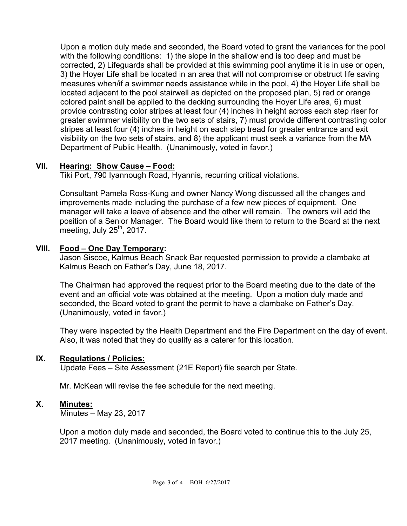Upon a motion duly made and seconded, the Board voted to grant the variances for the pool with the following conditions: 1) the slope in the shallow end is too deep and must be corrected, 2) Lifeguards shall be provided at this swimming pool anytime it is in use or open, 3) the Hoyer Life shall be located in an area that will not compromise or obstruct life saving measures when/if a swimmer needs assistance while in the pool, 4) the Hoyer Life shall be located adjacent to the pool stairwell as depicted on the proposed plan, 5) red or orange colored paint shall be applied to the decking surrounding the Hoyer Life area, 6) must provide contrasting color stripes at least four (4) inches in height across each step riser for greater swimmer visibility on the two sets of stairs, 7) must provide different contrasting color stripes at least four (4) inches in height on each step tread for greater entrance and exit visibility on the two sets of stairs, and 8) the applicant must seek a variance from the MA Department of Public Health. (Unanimously, voted in favor.)

## **VII. Hearing: Show Cause – Food:**

Tiki Port, 790 Iyannough Road, Hyannis, recurring critical violations.

Consultant Pamela Ross-Kung and owner Nancy Wong discussed all the changes and improvements made including the purchase of a few new pieces of equipment. One manager will take a leave of absence and the other will remain. The owners will add the position of a Senior Manager. The Board would like them to return to the Board at the next meeting, July  $25<sup>th</sup>$ , 2017.

## **VIII. Food – One Day Temporary:**

Jason Siscoe, Kalmus Beach Snack Bar requested permission to provide a clambake at Kalmus Beach on Father's Day, June 18, 2017.

The Chairman had approved the request prior to the Board meeting due to the date of the event and an official vote was obtained at the meeting. Upon a motion duly made and seconded, the Board voted to grant the permit to have a clambake on Father's Day. (Unanimously, voted in favor.)

They were inspected by the Health Department and the Fire Department on the day of event. Also, it was noted that they do qualify as a caterer for this location.

### **IX. Regulations / Policies:**

Update Fees – Site Assessment (21E Report) file search per State.

Mr. McKean will revise the fee schedule for the next meeting.

### **X. Minutes:**

Minutes – May 23, 2017

Upon a motion duly made and seconded, the Board voted to continue this to the July 25, 2017 meeting. (Unanimously, voted in favor.)